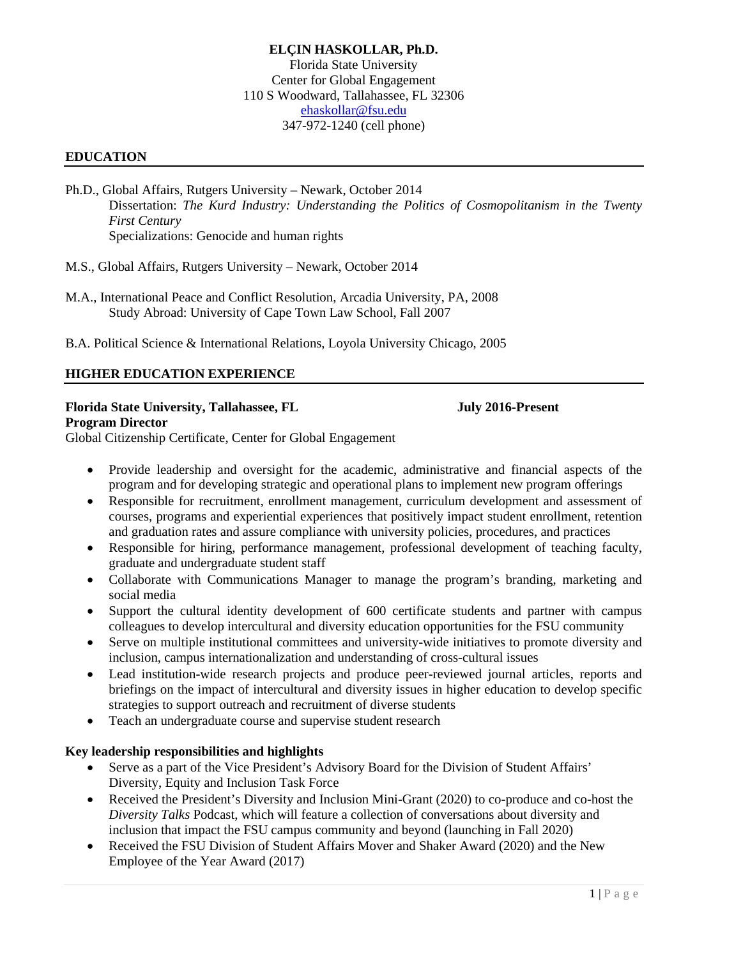## **ELÇIN HASKOLLAR, Ph.D.** Florida State University Center for Global Engagement 110 S Woodward, Tallahassee, FL 32306 [ehaskollar@fsu.edu](mailto:elcin.haskollar@gmail.com) 347-972-1240 (cell phone)

## **EDUCATION**

- Ph.D., Global Affairs, Rutgers University Newark, October 2014 Dissertation: *The Kurd Industry: Understanding the Politics of Cosmopolitanism in the Twenty First Century* Specializations: Genocide and human rights
- M.S., Global Affairs, Rutgers University Newark, October 2014
- M.A., International Peace and Conflict Resolution, Arcadia University, PA, 2008 Study Abroad: University of Cape Town Law School, Fall 2007
- B.A. Political Science & International Relations, Loyola University Chicago, 2005

## **HIGHER EDUCATION EXPERIENCE**

### **Florida State University, Tallahassee, FL July 2016-Present**

**Program Director**

Global Citizenship Certificate, Center for Global Engagement

- Provide leadership and oversight for the academic, administrative and financial aspects of the program and for developing strategic and operational plans to implement new program offerings
- Responsible for recruitment, enrollment management, curriculum development and assessment of courses, programs and experiential experiences that positively impact student enrollment, retention and graduation rates and assure compliance with university policies, procedures, and practices
- Responsible for hiring, performance management, professional development of teaching faculty, graduate and undergraduate student staff
- Collaborate with Communications Manager to manage the program's branding, marketing and social media
- Support the cultural identity development of 600 certificate students and partner with campus colleagues to develop intercultural and diversity education opportunities for the FSU community
- Serve on multiple institutional committees and university-wide initiatives to promote diversity and inclusion, campus internationalization and understanding of cross-cultural issues
- Lead institution-wide research projects and produce peer-reviewed journal articles, reports and briefings on the impact of intercultural and diversity issues in higher education to develop specific strategies to support outreach and recruitment of diverse students
- Teach an undergraduate course and supervise student research

### **Key leadership responsibilities and highlights**

- Serve as a part of the Vice President's Advisory Board for the Division of Student Affairs' Diversity, Equity and Inclusion Task Force
- Received the President's Diversity and Inclusion Mini-Grant (2020) to co-produce and co-host the *Diversity Talks* Podcast, which will feature a collection of conversations about diversity and inclusion that impact the FSU campus community and beyond (launching in Fall 2020)
- Received the FSU Division of Student Affairs Mover and Shaker Award (2020) and the New Employee of the Year Award (2017)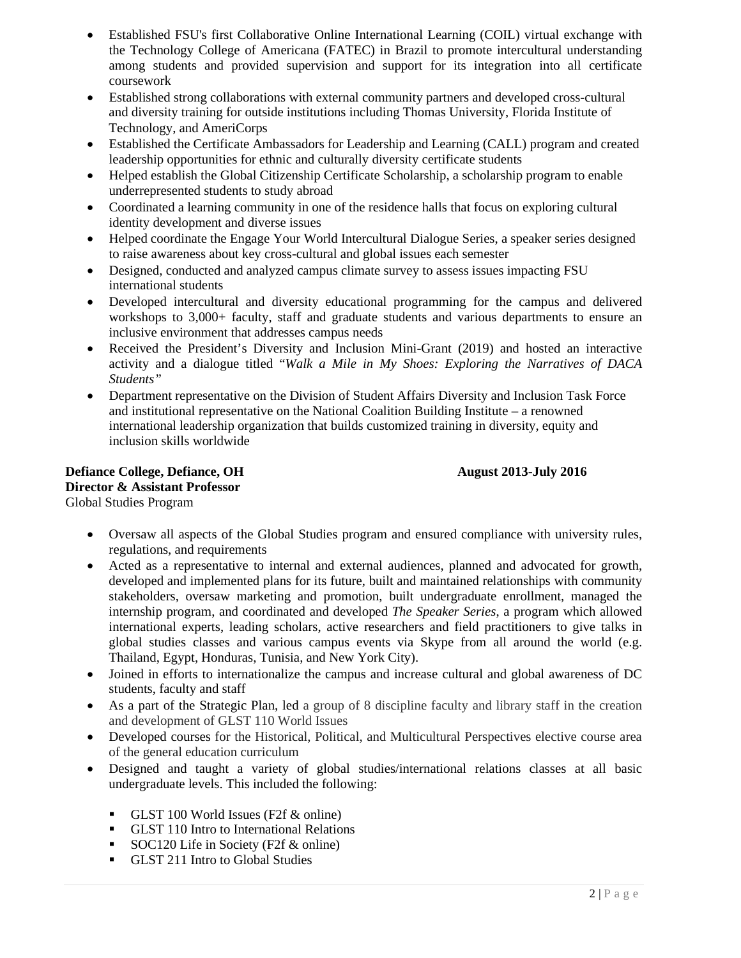- Established FSU's first Collaborative Online International Learning (COIL) virtual exchange with the Technology College of Americana (FATEC) in Brazil to promote intercultural understanding among students and provided supervision and support for its integration into all certificate coursework
- Established strong collaborations with external community partners and developed cross-cultural and diversity training for outside institutions including Thomas University, Florida Institute of Technology, and AmeriCorps
- Established the Certificate Ambassadors for Leadership and Learning (CALL) program and created leadership opportunities for ethnic and culturally diversity certificate students
- Helped establish the Global Citizenship Certificate Scholarship, a scholarship program to enable underrepresented students to study abroad
- Coordinated a learning community in one of the residence halls that focus on exploring cultural identity development and diverse issues
- Helped coordinate the Engage Your World Intercultural Dialogue Series, a speaker series designed to raise awareness about key cross-cultural and global issues each semester
- Designed, conducted and analyzed campus climate survey to assess issues impacting FSU international students
- Developed intercultural and diversity educational programming for the campus and delivered workshops to 3,000+ faculty, staff and graduate students and various departments to ensure an inclusive environment that addresses campus needs
- Received the President's Diversity and Inclusion Mini-Grant (2019) and hosted an interactive activity and a dialogue titled "*Walk a Mile in My Shoes: Exploring the Narratives of DACA Students"*
- Department representative on the Division of Student Affairs Diversity and Inclusion Task Force and institutional representative on the National Coalition Building Institute – a renowned international leadership organization that builds customized training in diversity, equity and inclusion skills worldwide

## **Defiance College, Defiance, OH August 2013-July 2016 Director & Assistant Professor** Global Studies Program

- Oversaw all aspects of the Global Studies program and ensured compliance with university rules, regulations, and requirements
- Acted as a representative to internal and external audiences, planned and advocated for growth, developed and implemented plans for its future, built and maintained relationships with community stakeholders, oversaw marketing and promotion, built undergraduate enrollment, managed the internship program, and coordinated and developed *The Speaker Series*, a program which allowed international experts, leading scholars, active researchers and field practitioners to give talks in global studies classes and various campus events via Skype from all around the world (e.g. Thailand, Egypt, Honduras, Tunisia, and New York City).
- Joined in efforts to internationalize the campus and increase cultural and global awareness of DC students, faculty and staff
- As a part of the Strategic Plan, led a group of 8 discipline faculty and library staff in the creation and development of GLST 110 World Issues
- Developed courses for the Historical, Political, and Multicultural Perspectives elective course area of the general education curriculum
- Designed and taught a variety of global studies/international relations classes at all basic undergraduate levels. This included the following:
	- GLST 100 World Issues (F2f  $\&$  online)
	- GLST 110 Intro to International Relations
	- SOC120 Life in Society (F2f & online)
	- GLST 211 Intro to Global Studies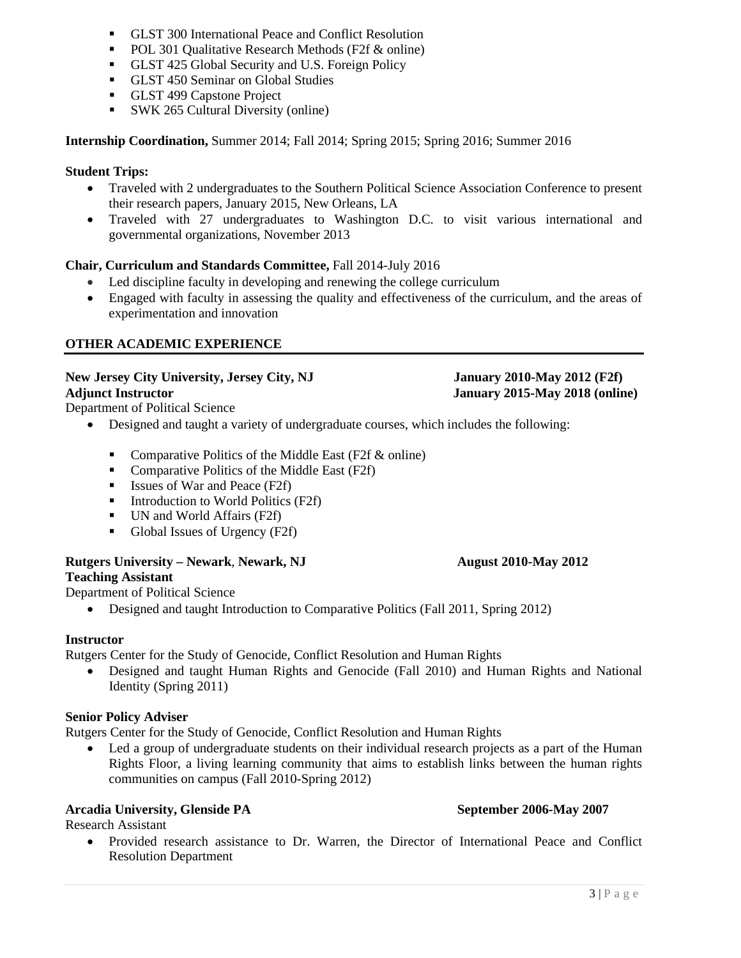- GLST 300 International Peace and Conflict Resolution
- POL 301 Qualitative Research Methods (F2f & online)
- GLST 425 Global Security and U.S. Foreign Policy
- GLST 450 Seminar on Global Studies
- GLST 499 Capstone Project
- SWK 265 Cultural Diversity (online)

**Internship Coordination,** Summer 2014; Fall 2014; Spring 2015; Spring 2016; Summer 2016

## **Student Trips:**

- Traveled with 2 undergraduates to the Southern Political Science Association Conference to present their research papers, January 2015, New Orleans, LA
- Traveled with 27 undergraduates to Washington D.C. to visit various international and governmental organizations, November 2013

# **Chair, Curriculum and Standards Committee,** Fall 2014-July 2016

- Led discipline faculty in developing and renewing the college curriculum
- Engaged with faculty in assessing the quality and effectiveness of the curriculum, and the areas of experimentation and innovation

# **OTHER ACADEMIC EXPERIENCE**

## **New Jersey City University, Jersey City, NJ January 2010-May 2012 (F2f) Adjunct Instructor January 2015-May 2018 (online)**

Department of Political Science

- Designed and taught a variety of undergraduate courses, which includes the following:
	- Comparative Politics of the Middle East (F2f & online)
	- Comparative Politics of the Middle East (F2f)
	- **Issues of War and Peace (F2f)**
	- $\blacksquare$  Introduction to World Politics (F2f)
	- UN and World Affairs (F2f)
	- Global Issues of Urgency (F2f)

## **Rutgers University – Newark**, **Newark, NJ August 2010-May 2012 Teaching Assistant**

Department of Political Science

• Designed and taught Introduction to Comparative Politics (Fall 2011, Spring 2012)

# **Instructor**

Rutgers Center for the Study of Genocide, Conflict Resolution and Human Rights

• Designed and taught Human Rights and Genocide (Fall 2010) and Human Rights and National Identity (Spring 2011)

## **Senior Policy Adviser**

Rutgers Center for the Study of Genocide, Conflict Resolution and Human Rights

Led a group of undergraduate students on their individual research projects as a part of the Human Rights Floor, a living learning community that aims to establish links between the human rights communities on campus (Fall 2010-Spring 2012)

# **Arcadia University, Glenside PA September 2006-May 2007**

Research Assistant

• Provided research assistance to Dr. Warren, the Director of International Peace and Conflict Resolution Department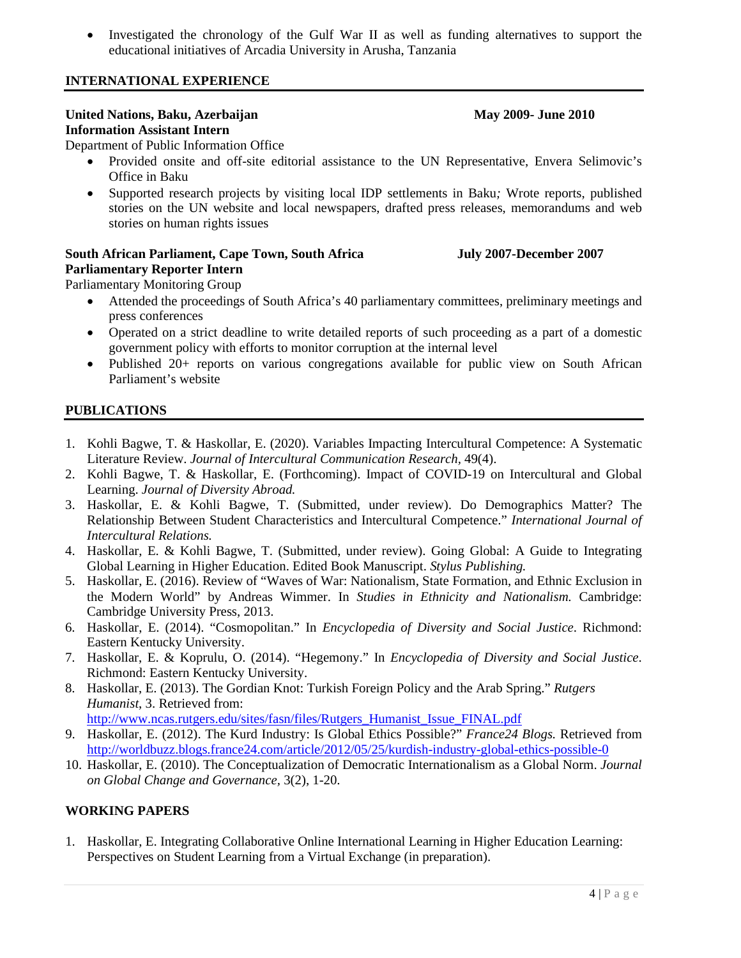• Investigated the chronology of the Gulf War II as well as funding alternatives to support the educational initiatives of Arcadia University in Arusha, Tanzania

## **INTERNATIONAL EXPERIENCE**

### **United Nations, Baku, Azerbaijan May 2009- May 2009-** June 2010 **Information Assistant Intern**

Department of Public Information Office

- Provided onsite and off-site editorial assistance to the UN Representative, Envera Selimovic's Office in Baku
- Supported research projects by visiting local IDP settlements in Baku*;* Wrote reports, published stories on the UN website and local newspapers, drafted press releases, memorandums and web stories on human rights issues

# **South African Parliament, Cape Town, South Africa July 2007-December 2007 Parliamentary Reporter Intern**

Parliamentary Monitoring Group

- Attended the proceedings of South Africa's 40 parliamentary committees, preliminary meetings and press conferences
- Operated on a strict deadline to write detailed reports of such proceeding as a part of a domestic government policy with efforts to monitor corruption at the internal level
- Published 20+ reports on various congregations available for public view on South African Parliament's website

# **PUBLICATIONS**

- 1. Kohli Bagwe, T. & Haskollar, E. (2020). Variables Impacting Intercultural Competence: A Systematic Literature Review. *Journal of Intercultural Communication Research,* 49(4).
- 2. Kohli Bagwe, T. & Haskollar, E. (Forthcoming). Impact of COVID-19 on Intercultural and Global Learning. *Journal of Diversity Abroad.*
- 3. Haskollar, E. & Kohli Bagwe, T. (Submitted, under review). Do Demographics Matter? The Relationship Between Student Characteristics and Intercultural Competence." *International Journal of Intercultural Relations.*
- 4. Haskollar, E. & Kohli Bagwe, T. (Submitted, under review). Going Global: A Guide to Integrating Global Learning in Higher Education. Edited Book Manuscript. *Stylus Publishing.*
- 5. Haskollar, E. (2016). Review of "Waves of War: Nationalism, State Formation, and Ethnic Exclusion in the Modern World" by Andreas Wimmer. In *Studies in Ethnicity and Nationalism.* Cambridge: Cambridge University Press, 2013.
- 6. Haskollar, E. (2014). "Cosmopolitan." In *Encyclopedia of Diversity and Social Justice*. Richmond: Eastern Kentucky University.
- 7. Haskollar, E. & Koprulu, O. (2014). "Hegemony." In *Encyclopedia of Diversity and Social Justice*. Richmond: Eastern Kentucky University.
- 8. Haskollar, E. (2013). The Gordian Knot: Turkish Foreign Policy and the Arab Spring." *Rutgers Humanist*, 3. Retrieved from:

[http://www.ncas.rutgers.edu/sites/fasn/files/Rutgers\\_Humanist\\_Issue\\_FINAL.pdf](http://www.ncas.rutgers.edu/sites/fasn/files/Rutgers_Humanist_Issue_FINAL.pdf)

- 9. Haskollar, E. (2012). The Kurd Industry: Is Global Ethics Possible?" *France24 Blogs.* Retrieved from <http://worldbuzz.blogs.france24.com/article/2012/05/25/kurdish-industry-global-ethics-possible-0>
- 10. Haskollar, E. (2010). The Conceptualization of Democratic Internationalism as a Global Norm. *Journal on Global Change and Governance,* 3(2), 1-20.

# **WORKING PAPERS**

1. Haskollar, E. Integrating Collaborative Online International Learning in Higher Education Learning: Perspectives on Student Learning from a Virtual Exchange (in preparation).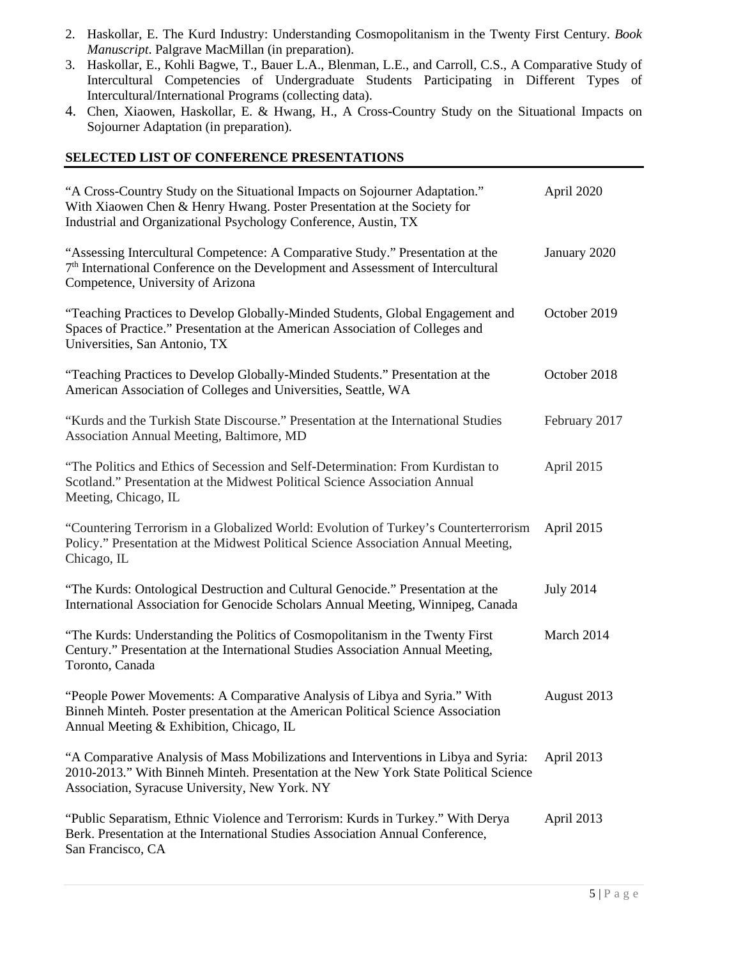- 2. Haskollar, E. The Kurd Industry: Understanding Cosmopolitanism in the Twenty First Century. *Book Manuscript*. Palgrave MacMillan (in preparation).
- 3. Haskollar, E., Kohli Bagwe, T., Bauer L.A., Blenman, L.E., and Carroll, C.S., A Comparative Study of Intercultural Competencies of Undergraduate Students Participating in Different Types of Intercultural/International Programs (collecting data).
- 4. Chen, Xiaowen, Haskollar, E. & Hwang, H., A Cross-Country Study on the Situational Impacts on Sojourner Adaptation (in preparation).

### **SELECTED LIST OF CONFERENCE PRESENTATIONS**

| "A Cross-Country Study on the Situational Impacts on Sojourner Adaptation."<br>With Xiaowen Chen & Henry Hwang. Poster Presentation at the Society for<br>Industrial and Organizational Psychology Conference, Austin, TX     | April 2020       |
|-------------------------------------------------------------------------------------------------------------------------------------------------------------------------------------------------------------------------------|------------------|
| "Assessing Intercultural Competence: A Comparative Study." Presentation at the<br>7 <sup>th</sup> International Conference on the Development and Assessment of Intercultural<br>Competence, University of Arizona            | January 2020     |
| "Teaching Practices to Develop Globally-Minded Students, Global Engagement and<br>Spaces of Practice." Presentation at the American Association of Colleges and<br>Universities, San Antonio, TX                              | October 2019     |
| "Teaching Practices to Develop Globally-Minded Students." Presentation at the<br>American Association of Colleges and Universities, Seattle, WA                                                                               | October 2018     |
| "Kurds and the Turkish State Discourse." Presentation at the International Studies<br>Association Annual Meeting, Baltimore, MD                                                                                               | February 2017    |
| "The Politics and Ethics of Secession and Self-Determination: From Kurdistan to<br>Scotland." Presentation at the Midwest Political Science Association Annual<br>Meeting, Chicago, IL                                        | April 2015       |
| "Countering Terrorism in a Globalized World: Evolution of Turkey's Counterterrorism<br>Policy." Presentation at the Midwest Political Science Association Annual Meeting,<br>Chicago, IL                                      | April 2015       |
| "The Kurds: Ontological Destruction and Cultural Genocide." Presentation at the<br>International Association for Genocide Scholars Annual Meeting, Winnipeg, Canada                                                           | <b>July 2014</b> |
| "The Kurds: Understanding the Politics of Cosmopolitanism in the Twenty First<br>Century." Presentation at the International Studies Association Annual Meeting,<br>Toronto, Canada                                           | March 2014       |
| "People Power Movements: A Comparative Analysis of Libya and Syria." With<br>Binneh Minteh. Poster presentation at the American Political Science Association<br>Annual Meeting & Exhibition, Chicago, IL                     | August 2013      |
| "A Comparative Analysis of Mass Mobilizations and Interventions in Libya and Syria:<br>2010-2013." With Binneh Minteh. Presentation at the New York State Political Science<br>Association, Syracuse University, New York. NY | April 2013       |
| "Public Separatism, Ethnic Violence and Terrorism: Kurds in Turkey." With Derya<br>Berk. Presentation at the International Studies Association Annual Conference,<br>San Francisco, CA                                        | April 2013       |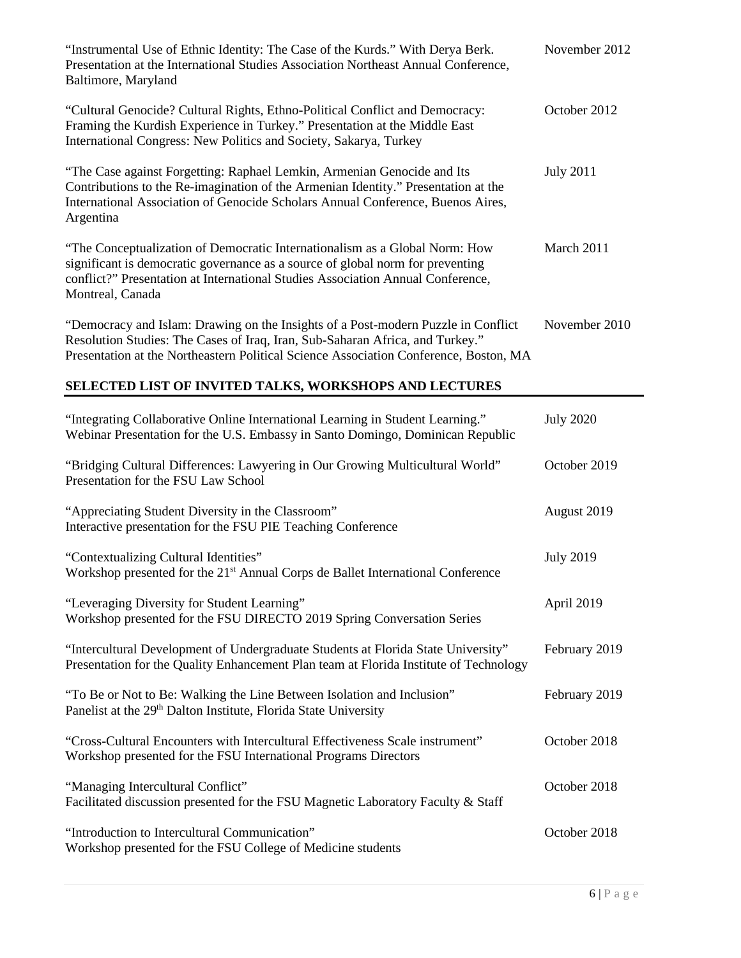| "Instrumental Use of Ethnic Identity: The Case of the Kurds." With Derya Berk.<br>Presentation at the International Studies Association Northeast Annual Conference,<br>Baltimore, Maryland                                                                          | November 2012    |
|----------------------------------------------------------------------------------------------------------------------------------------------------------------------------------------------------------------------------------------------------------------------|------------------|
| "Cultural Genocide? Cultural Rights, Ethno-Political Conflict and Democracy:<br>Framing the Kurdish Experience in Turkey." Presentation at the Middle East<br>International Congress: New Politics and Society, Sakarya, Turkey                                      | October 2012     |
| "The Case against Forgetting: Raphael Lemkin, Armenian Genocide and Its<br>Contributions to the Re-imagination of the Armenian Identity." Presentation at the<br>International Association of Genocide Scholars Annual Conference, Buenos Aires,<br>Argentina        | <b>July 2011</b> |
| "The Conceptualization of Democratic Internationalism as a Global Norm: How<br>significant is democratic governance as a source of global norm for preventing<br>conflict?" Presentation at International Studies Association Annual Conference,<br>Montreal, Canada | March 2011       |
| "Democracy and Islam: Drawing on the Insights of a Post-modern Puzzle in Conflict<br>Resolution Studies: The Cases of Iraq, Iran, Sub-Saharan Africa, and Turkey."<br>Presentation at the Northeastern Political Science Association Conference, Boston, MA          | November 2010    |
| SELECTED LIST OF INVITED TALKS, WORKSHOPS AND LECTURES                                                                                                                                                                                                               |                  |
| "Integrating Collaborative Online International Learning in Student Learning."<br>Webinar Presentation for the U.S. Embassy in Santo Domingo, Dominican Republic                                                                                                     | <b>July 2020</b> |
| "Bridging Cultural Differences: Lawyering in Our Growing Multicultural World"<br>Presentation for the FSU Law School                                                                                                                                                 | October 2019     |
| "Appreciating Student Diversity in the Classroom"<br>Interactive presentation for the FSU PIE Teaching Conference                                                                                                                                                    | August 2019      |
| "Contextualizing Cultural Identities"                                                                                                                                                                                                                                | <b>July 2019</b> |

| Workshop presented for the 21 <sup>st</sup> Annual Corps de Ballet International Conference                                                                                |               |
|----------------------------------------------------------------------------------------------------------------------------------------------------------------------------|---------------|
| "Leveraging Diversity for Student Learning"<br>Workshop presented for the FSU DIRECTO 2019 Spring Conversation Series                                                      | April 2019    |
| "Intercultural Development of Undergraduate Students at Florida State University"<br>Presentation for the Quality Enhancement Plan team at Florida Institute of Technology | February 2019 |
| "To Be or Not to Be: Walking the Line Between Isolation and Inclusion"<br>Panelist at the 29 <sup>th</sup> Dalton Institute, Florida State University                      | February 2019 |
| "Cross-Cultural Encounters with Intercultural Effectiveness Scale instrument"<br>Workshop presented for the FSU International Programs Directors                           | October 2018  |
| "Managing Intercultural Conflict"<br>Facilitated discussion presented for the FSU Magnetic Laboratory Faculty & Staff                                                      | October 2018  |
| "Introduction to Intercultural Communication"                                                                                                                              | October 2018  |

Workshop presented for the FSU College of Medicine students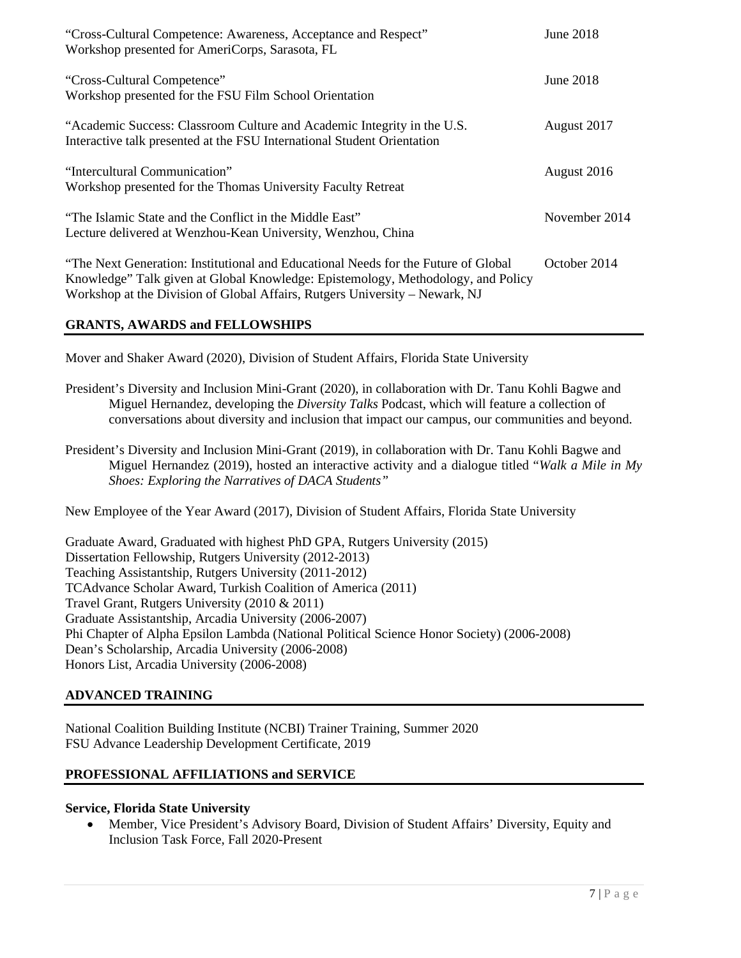| "Cross-Cultural Competence: Awareness, Acceptance and Respect"<br>Workshop presented for AmeriCorps, Sarasota, FL                                                                                                                                      | June 2018     |
|--------------------------------------------------------------------------------------------------------------------------------------------------------------------------------------------------------------------------------------------------------|---------------|
| "Cross-Cultural Competence"<br>Workshop presented for the FSU Film School Orientation                                                                                                                                                                  | June 2018     |
| "Academic Success: Classroom Culture and Academic Integrity in the U.S.<br>Interactive talk presented at the FSU International Student Orientation                                                                                                     | August 2017   |
| "Intercultural Communication"<br>Workshop presented for the Thomas University Faculty Retreat                                                                                                                                                          | August 2016   |
| "The Islamic State and the Conflict in the Middle East"<br>Lecture delivered at Wenzhou-Kean University, Wenzhou, China                                                                                                                                | November 2014 |
| "The Next Generation: Institutional and Educational Needs for the Future of Global"<br>Knowledge" Talk given at Global Knowledge: Epistemology, Methodology, and Policy<br>Workshop at the Division of Global Affairs, Rutgers University – Newark, NJ | October 2014  |

## **GRANTS, AWARDS and FELLOWSHIPS**

Mover and Shaker Award (2020), Division of Student Affairs, Florida State University

- President's Diversity and Inclusion Mini-Grant (2020), in collaboration with Dr. Tanu Kohli Bagwe and Miguel Hernandez, developing the *Diversity Talks* Podcast, which will feature a collection of conversations about diversity and inclusion that impact our campus, our communities and beyond.
- President's Diversity and Inclusion Mini-Grant (2019), in collaboration with Dr. Tanu Kohli Bagwe and Miguel Hernandez (2019), hosted an interactive activity and a dialogue titled "*Walk a Mile in My Shoes: Exploring the Narratives of DACA Students"*

New Employee of the Year Award (2017), Division of Student Affairs, Florida State University

Graduate Award, Graduated with highest PhD GPA, Rutgers University (2015) Dissertation Fellowship, Rutgers University (2012-2013) Teaching Assistantship, Rutgers University (2011-2012) TCAdvance Scholar Award, Turkish Coalition of America (2011) Travel Grant, Rutgers University (2010 & 2011) Graduate Assistantship, Arcadia University (2006-2007) Phi Chapter of Alpha Epsilon Lambda (National Political Science Honor Society) (2006-2008) Dean's Scholarship, Arcadia University (2006-2008) Honors List, Arcadia University (2006-2008)

## **ADVANCED TRAINING**

National Coalition Building Institute (NCBI) Trainer Training, Summer 2020 FSU Advance Leadership Development Certificate, 2019

## **PROFESSIONAL AFFILIATIONS and SERVICE**

### **Service, Florida State University**

• Member, Vice President's Advisory Board, Division of Student Affairs' Diversity, Equity and Inclusion Task Force, Fall 2020-Present